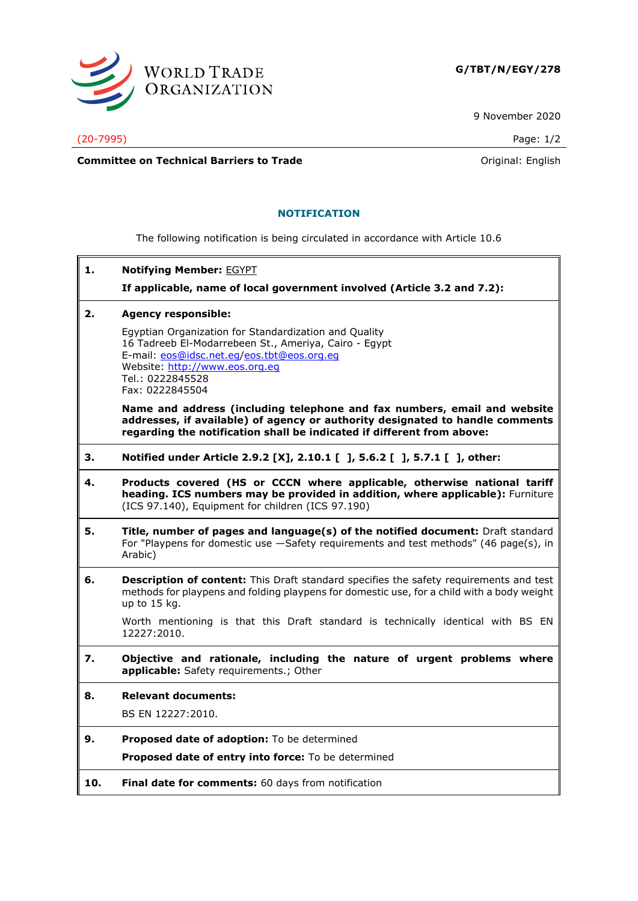

9 November 2020

(20-7995) Page: 1/2

**Committee on Technical Barriers to Trade Committee on Technical Barriers to Trade Original: English** 

## **NOTIFICATION**

The following notification is being circulated in accordance with Article 10.6

**1. Notifying Member:** EGYPT

**If applicable, name of local government involved (Article 3.2 and 7.2):**

**2. Agency responsible:**

Egyptian Organization for Standardization and Quality 16 Tadreeb El-Modarrebeen St., Ameriya, Cairo - Egypt E-mail: [eos@idsc.net.eg/](mailto:eos@idsc.net.eg)[eos.tbt@eos.org.eg](mailto:eos.tbt@eos.org.eg) Website: [http://www.eos.org.eg](http://www.eos.org.eg/) Tel.: 0222845528 Fax: 0222845504

**Name and address (including telephone and fax numbers, email and website addresses, if available) of agency or authority designated to handle comments regarding the notification shall be indicated if different from above:**

- **3. Notified under Article 2.9.2 [X], 2.10.1 [ ], 5.6.2 [ ], 5.7.1 [ ], other:**
- **4. Products covered (HS or CCCN where applicable, otherwise national tariff heading. ICS numbers may be provided in addition, where applicable):** Furniture (ICS 97.140), Equipment for children (ICS 97.190)
- **5. Title, number of pages and language(s) of the notified document:** Draft standard For "Playpens for domestic use —Safety requirements and test methods" (46 page(s), in Arabic)
- **6. Description of content:** This Draft standard specifies the safety requirements and test methods for playpens and folding playpens for domestic use, for a child with a body weight up to 15 kg.

Worth mentioning is that this Draft standard is technically identical with BS EN 12227:2010.

- **7. Objective and rationale, including the nature of urgent problems where applicable:** Safety requirements.; Other
- **8. Relevant documents:** BS EN 12227:2010.
- **9. Proposed date of adoption:** To be determined **Proposed date of entry into force:** To be determined
- **10. Final date for comments:** 60 days from notification